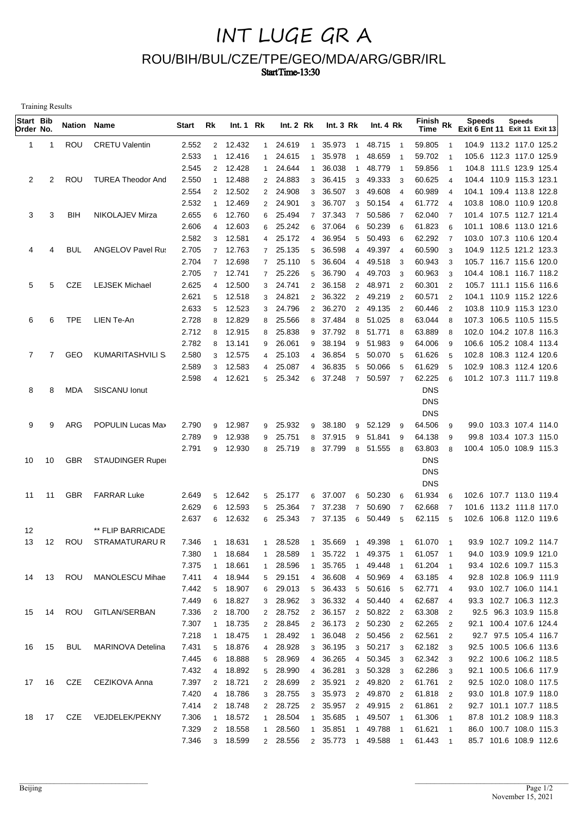## INT LUGE GR A ROU/BIH/BUL/CZE/TPE/GEO/MDA/ARG/GBR/IRL Start Time-13:30

Training Results

| Start Bib<br>Order No. |              | <b>Nation Name</b> |                          | Start          | Rk             | Int.1 Rk           |                     | Int.2 Rk           |                                  | Int. $3 \, Rk$   |                | Int. 4 Rk                |                          | Finish Rk<br><b>Time</b> |                                            | <b>Speeds</b><br>Exit 6 Ent 11 Exit 11 Exit 13     | <b>Speeds</b> |  |
|------------------------|--------------|--------------------|--------------------------|----------------|----------------|--------------------|---------------------|--------------------|----------------------------------|------------------|----------------|--------------------------|--------------------------|--------------------------|--------------------------------------------|----------------------------------------------------|---------------|--|
| 1                      | -1           | ROU                | <b>CRETU Valentin</b>    | 2.552          | $\overline{2}$ | 12.432             | $\mathbf{1}$        | 24.619             | $\overline{1}$                   | 35.973           | $\overline{1}$ | 48.715 1                 |                          | 59.805                   | $\overline{1}$                             | 104.9 113.2 117.0 125.2                            |               |  |
|                        |              |                    |                          | 2.533          | $\mathbf{1}$   | 12.416             | $\mathbf{1}$        | 24.615             | $\mathbf{1}$                     | 35.978<br>-1     |                | 48.659                   |                          | 59.702                   |                                            | 105.6 112.3 117.0 125.9                            |               |  |
|                        |              |                    |                          | 2.545          | $\overline{2}$ | 12.428             | 1                   | 24.644             | $\mathbf 1$                      | 36.038           | $\overline{1}$ | 48.779                   |                          | 59.856                   | -1                                         | 104.8 111.9 123.9 125.4                            |               |  |
| 2                      | 2            | ROU                | <b>TUREA Theodor And</b> | 2.550          | $\mathbf{1}$   | 12.488             |                     | 2 24.883           | 3                                | 36.415           | 3              | 49.333                   | - 3                      | 60.625                   | $\overline{4}$                             | 104.4 110.9 115.3 123.1                            |               |  |
|                        |              |                    |                          | 2.554          | 2              | 12.502             |                     | 2 24.908           | 3                                | 36.507           | 3              | 49.608                   | $\overline{4}$           | 60.989                   | $\overline{4}$                             | 104.1 109.4 113.8 122.8                            |               |  |
|                        |              |                    |                          | 2.532          | $\mathbf{1}$   | 12.469             |                     | 2 24.901           | 3                                | 36.707           | 3              | 50.154                   | $\overline{4}$           | 61.772                   | $\overline{4}$                             | 103.8 108.0 110.9 120.8                            |               |  |
| 3                      | 3            | <b>BIH</b>         | NIKOLAJEV Mirza          | 2.655<br>2.606 | 6              | 12.760             | 6                   | 25.494             | $\overline{7}$<br>6              | 37.343           | $\overline{7}$ | 50.586<br>50.239         | $\overline{7}$           | 62.040                   | $\overline{7}$                             | 101.4 107.5 112.7 121.4                            |               |  |
|                        |              |                    |                          | 2.582          | 4<br>3         | 12.603<br>12.581   | 6<br>$\overline{4}$ | 25.242<br>25.172   | $\overline{\mathcal{A}}$         | 37.064<br>36.954 | 6<br>5         | 50.493                   | 6<br>6                   | 61.823<br>62.292         | 6<br>$\overline{7}$                        | 101.1 108.6 113.0 121.6<br>103.0 107.3 110.6 120.4 |               |  |
| 4                      | 4            | <b>BUL</b>         | <b>ANGELOV Pavel Rus</b> | 2.705          | $\overline{7}$ | 12.763             | $7^{\circ}$         | 25.135             | 5                                | 36.598           | $\overline{4}$ | 49.397                   | $\overline{4}$           | 60.590                   | 3                                          | 104.9 112.5 121.2 123.3                            |               |  |
|                        |              |                    |                          | 2.704          | $\overline{7}$ | 12.698             |                     | 7 25.110           | 5                                | 36.604           | $\overline{4}$ | 49.518                   | -3                       | 60.943                   | 3                                          | 105.7 116.7 115.6 120.0                            |               |  |
|                        |              |                    |                          | 2.705          | $\overline{7}$ | 12.741             | $7^{\circ}$         | 25.226             | 5                                | 36.790           | $\overline{4}$ | 49.703                   | -3                       | 60.963                   | 3                                          | 104.4 108.1 116.7 118.2                            |               |  |
| 5                      | 5            | <b>CZE</b>         | <b>LEJSEK Michael</b>    | 2.625          | $\overline{4}$ | 12.500             | 3                   | 24.741             | $\overline{2}$                   | 36.158           | $\overline{2}$ | 48.971                   | $\overline{2}$           | 60.301                   | $\overline{2}$                             | 105.7 111.1 115.6 116.6                            |               |  |
|                        |              |                    |                          | 2.621          | 5              | 12.518             | 3                   | 24.821             | $\overline{2}$                   | 36.322           | $\overline{2}$ | 49.219                   | $\overline{2}$           | 60.571                   | $\overline{2}$                             | 104.1 110.9 115.2 122.6                            |               |  |
|                        |              |                    |                          | 2.633          | 5              | 12.523             | 3                   | 24.796             | $\overline{2}$                   | 36.270           | $\overline{2}$ | 49.135                   | $\overline{2}$           | 60.446                   | $\overline{2}$                             | 103.8 110.9 115.3 123.0                            |               |  |
| 6                      | 6            | <b>TPE</b>         | LIEN Te-An               | 2.728          | 8              | 12.829             | 8                   | 25.566             | 8                                | 37.484           | 8              | 51.025                   | - 8                      | 63.044                   | 8                                          | 107.3 106.5 110.5 115.5                            |               |  |
|                        |              |                    |                          | 2.712          | 8              | 12.915             | 8                   | 25.838             |                                  | 9 37.792         | 8              | 51.771                   | - 8                      | 63.889                   | 8                                          | 102.0 104.2 107.8 116.3                            |               |  |
|                        |              |                    |                          | 2.782          | 8              | 13.141             | 9                   | 26.061             | 9                                | 38.194           | 9              | 51.983                   | 9                        | 64.006                   | 9                                          | 106.6 105.2 108.4 113.4                            |               |  |
| $\overline{7}$         | $\mathbf{7}$ | GEO                | KUMARITASHVILI S         | 2.580          | 3              | 12.575             | $\overline{4}$      | 25.103             | 4                                | 36.854           | 5              | 50.070                   | -5                       | 61.626                   | 5                                          | 102.8 108.3 112.4 120.6                            |               |  |
|                        |              |                    |                          | 2.589          | 3              | 12.583             | $\overline{4}$      | 25.087             | $\overline{4}$                   | 36.835           | 5              | 50.066                   | 5                        | 61.629                   | 5                                          | 102.9 108.3 112.4 120.6                            |               |  |
|                        |              |                    |                          | 2.598          | $\overline{4}$ | 12.621             | 5                   | 25.342             | 6                                | 37.248           | $\overline{7}$ | 50.597 7                 |                          | 62.225                   | 6                                          | 101.2 107.3 111.7 119.8                            |               |  |
| 8                      | 8            | MDA                | SISCANU Ionut            |                |                |                    |                     |                    |                                  |                  |                |                          |                          | <b>DNS</b>               |                                            |                                                    |               |  |
|                        |              |                    |                          |                |                |                    |                     |                    |                                  |                  |                |                          |                          | <b>DNS</b>               |                                            |                                                    |               |  |
|                        |              |                    |                          |                |                |                    |                     |                    |                                  |                  |                |                          |                          | <b>DNS</b>               |                                            |                                                    |               |  |
| 9                      | 9            | ARG                | POPULIN Lucas Max        | 2.790          | 9              | 12.987             | 9                   | 25.932             | 9                                | 38.180           | 9              | 52.129                   | 9                        | 64.506                   | 9                                          | 99.0 103.3 107.4 114.0                             |               |  |
|                        |              |                    |                          | 2.789<br>2.791 | 9              | 12.938             | 9                   | 25.751             | 8                                | 37.915           | 9              | 51.841 9                 |                          | 64.138                   | 9                                          | 99.8 103.4 107.3 115.0                             |               |  |
| 10                     | 10           | GBR                | <b>STAUDINGER Ruper</b>  |                | 9              | 12.930             | 8                   | 25.719             | 8                                | 37.799           |                | 8 51.555 8               |                          | 63.803<br><b>DNS</b>     | 8                                          | 100.4 105.0 108.9 115.3                            |               |  |
|                        |              |                    |                          |                |                |                    |                     |                    |                                  |                  |                |                          |                          | <b>DNS</b>               |                                            |                                                    |               |  |
|                        |              |                    |                          |                |                |                    |                     |                    |                                  |                  |                |                          |                          | <b>DNS</b>               |                                            |                                                    |               |  |
| 11                     | 11           | <b>GBR</b>         | <b>FARRAR Luke</b>       | 2.649          | 5              | 12.642             | 5 <sup>5</sup>      | 25.177             | 6                                | 37.007           | 6              | 50.230                   | 6                        | 61.934                   | 6                                          | 102.6 107.7 113.0 119.4                            |               |  |
|                        |              |                    |                          | 2.629          | 6              | 12.593             | 5                   | 25.364             | $\overline{7}$                   | 37.238           | $\overline{7}$ | 50.690                   | - 7                      | 62.668                   | $\overline{7}$                             | 101.6 113.2 111.8 117.0                            |               |  |
|                        |              |                    |                          | 2.637          | 6              | 12.632             |                     | 6 25.343           | $\overline{7}$                   | 37.135           | 6              | 50.449                   | 5                        | 62.115                   | 5                                          | 102.6 106.8 112.0 119.6                            |               |  |
| 12                     |              |                    | ** FLIP BARRICADE        |                |                |                    |                     |                    |                                  |                  |                |                          |                          |                          |                                            |                                                    |               |  |
| 13                     | 12           | ROU                | STRAMATURARU R           | 7.346          |                | 1 18.631           |                     | 1 28.528           | $\overline{1}$                   | 35.669           |                | 1 49.398                 | $\overline{1}$           | 61.070                   | $\overline{\phantom{1}}$                   | 93.9 102.7 109.2 114.7                             |               |  |
|                        |              |                    |                          | 7.380          | $\mathbf{1}$   | 18.684             | $\mathbf{1}$        | 28.589             | $\mathbf{1}$                     | 35.722 1         |                | 49.375                   | $\overline{1}$           | 61.057 1                 |                                            | 94.0 103.9 109.9 121.0                             |               |  |
|                        |              |                    |                          | 7.375          | 1              | 18.661             | 1                   | 28.596             | $\mathbf{1}$                     | 35.765           | $\overline{1}$ | 49.448                   | - 1                      | 61.204 1                 |                                            | 93.4 102.6 109.7 115.3                             |               |  |
| 14                     | 13           | ROU                | MANOLESCU Mihae          | 7.411          |                | 4 18.944           |                     | 5 29.151           | $\overline{4}$                   | 36.608           |                | 4 50.969 4               |                          | 63.185 4                 |                                            | 92.8 102.8 106.9 111.9                             |               |  |
|                        |              |                    |                          | 7.442          |                | 5 18.907           | 6                   | 29.013             |                                  | 5 36.433         |                | 5 50.616 5               |                          | 62.771                   | $\overline{4}$                             | 93.0 102.7 106.0 114.1                             |               |  |
|                        |              |                    |                          | 7.449          | 6              | 18.827             | 3                   | 28.962             |                                  | 3 36.332         |                | 4 50.440 4               |                          | 62.687                   | 4                                          | 93.3 102.7 106.3 112.3                             |               |  |
| 15                     | 14           | ROU                | GITLAN/SERBAN            | 7.336          |                | 2 18.700           |                     | 2 28.752           |                                  | 2 36.157         |                | 2 50.822 2               |                          | 63.308                   | $\overline{\mathbf{2}}$                    | 92.5 96.3 103.9 115.8                              |               |  |
|                        |              |                    |                          | 7.307          |                | 1 18.735           |                     | 2 28.845           |                                  | 2 36.173         |                | 2 50.230 2               |                          | 62.265                   | $\overline{2}$                             | 92.1 100.4 107.6 124.4                             |               |  |
|                        |              |                    |                          | 7.218          | $\mathbf{1}$   | 18.475             | 1                   | 28.492             | $\mathbf{1}$                     | 36.048           |                | 2 50.456 2               |                          | 62.561 2                 |                                            | 92.7 97.5 105.4 116.7                              |               |  |
| 16                     | 15           | BUL                | <b>MARINOVA Detelina</b> | 7.431          |                | 5 18.876           | 4                   | 28.928             |                                  | 3 36.195         |                | 3 50.217 3               |                          | 62.182                   | $\overline{\mathbf{3}}$                    | 92.5 100.5 106.6 113.6                             |               |  |
|                        |              |                    |                          | 7.445          | 6              | 18.888             |                     | 5 28.969           |                                  | 4 36.265         |                | 4 50.345 3               |                          | 62.342                   | $_{3}$                                     | 92.2 100.6 106.2 118.5                             |               |  |
|                        |              |                    |                          | 7.432          | 4              | 18.892             | 5 <sub>5</sub>      | 28.990             |                                  | 4 36.281         |                | 3 50.328 3               |                          | 62.286                   | 3                                          | 92.1 100.5 106.6 117.9                             |               |  |
| 17                     | 16           | CZE                | CEZIKOVA Anna            | 7.397          |                | 2 18.721           | $\overline{2}$      | 28.699             |                                  | 2 35.921         |                | 2 49.820 2               |                          | 61.761 2                 |                                            | 92.5 102.0 108.0 117.5                             |               |  |
|                        |              |                    |                          | 7.420<br>7.414 | 4              | 18.786<br>2 18.748 | 3 <sup>1</sup>      | 28.755<br>2 28.725 | 3 <sup>1</sup><br>$\overline{2}$ | 35.973<br>35.957 |                | 2 49.870 2<br>2 49.915 2 |                          | 61.818<br>61.861         | $\overline{2}$                             | 93.0 101.8 107.9 118.0<br>92.7 101.1 107.7 118.5   |               |  |
| 18                     | 17           | CZE                | VEJDELEK/PEKNY           | 7.306          | 1              | 18.572             | 1                   | 28.504             | $\mathbf{1}$                     | 35.685           | $\overline{1}$ | 49.507 1                 |                          | 61.306                   | $\overline{2}$<br>$\overline{\phantom{1}}$ | 87.8 101.2 108.9 118.3                             |               |  |
|                        |              |                    |                          | 7.329          | $\overline{2}$ | 18.558             | 1                   | 28.560             | $\mathbf{1}$                     | 35.851           | $\overline{1}$ | 49.788                   | $\overline{\phantom{0}}$ | 61.621                   | $\overline{\phantom{1}}$                   | 86.0 100.7 108.0 115.3                             |               |  |
|                        |              |                    |                          | 7.346          |                | 3 18.599           |                     | 2 28.556           |                                  | 2 35.773         |                | 1 49.588 1               |                          | 61.443                   | $\overline{1}$                             | 85.7 101.6 108.9 112.6                             |               |  |
|                        |              |                    |                          |                |                |                    |                     |                    |                                  |                  |                |                          |                          |                          |                                            |                                                    |               |  |